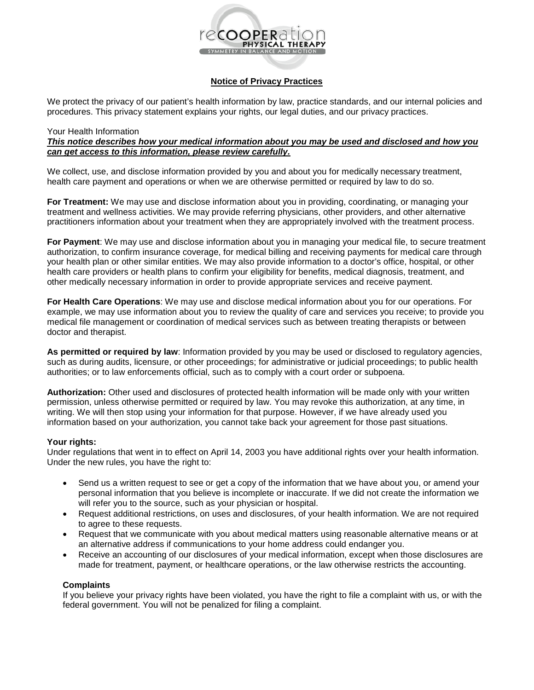

# **Notice of Privacy Practices**

We protect the privacy of our patient's health information by law, practice standards, and our internal policies and procedures. This privacy statement explains your rights, our legal duties, and our privacy practices.

#### Your Health Information

# *This notice describes how your medical information about you may be used and disclosed and how you can get access to this information, please review carefully.*

We collect, use, and disclose information provided by you and about you for medically necessary treatment, health care payment and operations or when we are otherwise permitted or required by law to do so.

**For Treatment:** We may use and disclose information about you in providing, coordinating, or managing your treatment and wellness activities. We may provide referring physicians, other providers, and other alternative practitioners information about your treatment when they are appropriately involved with the treatment process.

**For Payment**: We may use and disclose information about you in managing your medical file, to secure treatment authorization, to confirm insurance coverage, for medical billing and receiving payments for medical care through your health plan or other similar entities. We may also provide information to a doctor's office, hospital, or other health care providers or health plans to confirm your eligibility for benefits, medical diagnosis, treatment, and other medically necessary information in order to provide appropriate services and receive payment.

**For Health Care Operations**: We may use and disclose medical information about you for our operations. For example, we may use information about you to review the quality of care and services you receive; to provide you medical file management or coordination of medical services such as between treating therapists or between doctor and therapist.

**As permitted or required by law**: Information provided by you may be used or disclosed to regulatory agencies, such as during audits, licensure, or other proceedings; for administrative or judicial proceedings; to public health authorities; or to law enforcements official, such as to comply with a court order or subpoena.

**Authorization:** Other used and disclosures of protected health information will be made only with your written permission, unless otherwise permitted or required by law. You may revoke this authorization, at any time, in writing. We will then stop using your information for that purpose. However, if we have already used you information based on your authorization, you cannot take back your agreement for those past situations.

### **Your rights:**

Under regulations that went in to effect on April 14, 2003 you have additional rights over your health information. Under the new rules, you have the right to:

- Send us a written request to see or get a copy of the information that we have about you, or amend your personal information that you believe is incomplete or inaccurate. If we did not create the information we will refer you to the source, such as your physician or hospital.
- Request additional restrictions, on uses and disclosures, of your health information. We are not required to agree to these requests.
- Request that we communicate with you about medical matters using reasonable alternative means or at an alternative address if communications to your home address could endanger you.
- Receive an accounting of our disclosures of your medical information, except when those disclosures are made for treatment, payment, or healthcare operations, or the law otherwise restricts the accounting.

### **Complaints**

If you believe your privacy rights have been violated, you have the right to file a complaint with us, or with the federal government. You will not be penalized for filing a complaint.